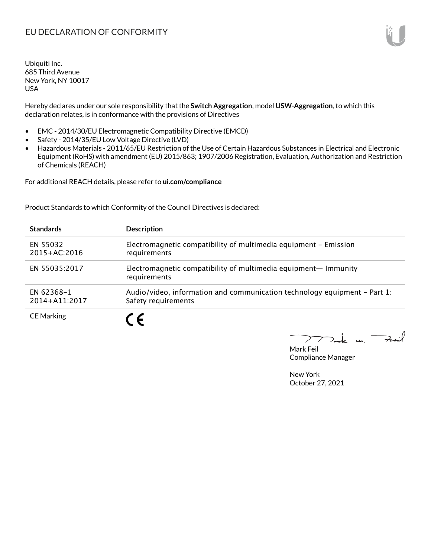## EU DECLARATION OF CONFORMITY

Ubiquiti Inc. 685 Third Avenue New York, NY 10017 USA

Hereby declares under our sole responsibility that the **Switch Aggregation**, model **USW-Aggregation**, to which this declaration relates, is in conformance with the provisions of Directives

- EMC 2014/30/EU Electromagnetic Compatibility Directive (EMCD)
- Safety 2014/35/EU Low Voltage Directive (LVD)
- Hazardous Materials 2011/65/EU Restriction of the Use of Certain Hazardous Substances in Electrical and Electronic Equipment (RoHS) with amendment (EU) 2015/863; 1907/2006 Registration, Evaluation, Authorization and Restriction of Chemicals (REACH)

For additional REACH details, please refer to **ui.com/compliance**

Product Standards to which Conformity of the Council Directives is declared:

| <b>Standards</b>                | <b>Description</b>                                                                               |
|---------------------------------|--------------------------------------------------------------------------------------------------|
| EN 55032<br>$2015 + AC:2016$    | Electromagnetic compatibility of multimedia equipment - Emission<br>requirements                 |
| EN 55035:2017                   | Electromagnetic compatibility of multimedia equipment- Immunity<br>requirements                  |
| EN 62368-1<br>$2014 + A11:2017$ | Audio/video, information and communication technology equipment – Part 1:<br>Safety requirements |
| <b>CE Marking</b>               |                                                                                                  |

Tak m. Fail  $\triangleright$ 

Mark Feil Compliance Manager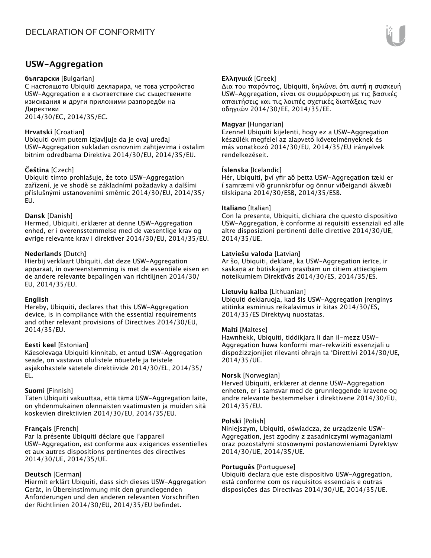### **USW-Aggregation**

#### **български** [Bulgarian]

С настоящото Ubiquiti декларира, че това устройство USW-Aggregation е в съответствие със съществените изисквания и други приложими разпоредби на Директиви

2014/30/ЕС, 2014/35/ЕС.

### **Hrvatski** [Croatian]

Ubiquiti ovim putem izjavljuje da je ovaj uređaj USW-Aggregation sukladan osnovnim zahtjevima i ostalim bitnim odredbama Direktiva 2014/30/EU, 2014/35/EU.

### **Čeština** [Czech]

Ubiquiti tímto prohlašuje, že toto USW-Aggregation zařízení, je ve shodě se základními požadavky a dalšími příslušnými ustanoveními směrnic 2014/30/EU, 2014/35/ EU.

#### **Dansk** [Danish]

Hermed, Ubiquiti, erklærer at denne USW-Aggregation enhed, er i overensstemmelse med de væsentlige krav og øvrige relevante krav i direktiver 2014/30/EU, 2014/35/EU.

#### **Nederlands** [Dutch]

Hierbij verklaart Ubiquiti, dat deze USW-Aggregation apparaat, in overeenstemming is met de essentiële eisen en de andere relevante bepalingen van richtlijnen 2014/30/ EU, 2014/35/EU.

#### **English**

Hereby, Ubiquiti, declares that this USW-Aggregation device, is in compliance with the essential requirements and other relevant provisions of Directives 2014/30/EU, 2014/35/EU.

#### **Eesti keel** [Estonian]

Käesolevaga Ubiquiti kinnitab, et antud USW-Aggregation seade, on vastavus olulistele nõuetele ja teistele asjakohastele sätetele direktiivide 2014/30/EL, 2014/35/ EL.

#### **Suomi** [Finnish]

Täten Ubiquiti vakuuttaa, että tämä USW-Aggregation laite, on yhdenmukainen olennaisten vaatimusten ja muiden sitä koskevien direktiivien 2014/30/EU, 2014/35/EU.

#### **Français** [French]

Par la présente Ubiquiti déclare que l'appareil USW-Aggregation, est conforme aux exigences essentielles et aux autres dispositions pertinentes des directives 2014/30/UE, 2014/35/UE.

### **Deutsch** [German]

Hiermit erklärt Ubiquiti, dass sich dieses USW-Aggregation Gerät, in Übereinstimmung mit den grundlegenden Anforderungen und den anderen relevanten Vorschriften der Richtlinien 2014/30/EU, 2014/35/EU befindet.

### **Ελληνικά** [Greek]

Δια του παρόντος, Ubiquiti, δηλώνει ότι αυτή η συσκευή USW-Aggregation, είναι σε συμμόρφωση με τις βασικές απαιτήσεις και τις λοιπές σχετικές διατάξεις των οδηγιών 2014/30/EE, 2014/35/EE.

### **Magyar** [Hungarian]

Ezennel Ubiquiti kijelenti, hogy ez a USW-Aggregation készülék megfelel az alapvető követelményeknek és más vonatkozó 2014/30/EU, 2014/35/EU irányelvek rendelkezéseit.

### **Íslenska** [Icelandic]

Hér, Ubiquiti, því yfir að þetta USW-Aggregation tæki er í samræmi við grunnkröfur og önnur viðeigandi ákvæði tilskipana 2014/30/ESB, 2014/35/ESB.

#### **Italiano** [Italian]

Con la presente, Ubiquiti, dichiara che questo dispositivo USW-Aggregation, è conforme ai requisiti essenziali ed alle altre disposizioni pertinenti delle direttive 2014/30/UE, 2014/35/UE.

#### **Latviešu valoda** [Latvian]

Ar šo, Ubiquiti, deklarē, ka USW-Aggregation ierīce, ir saskaņā ar būtiskajām prasībām un citiem attiecīgiem noteikumiem Direktīvās 2014/30/ES, 2014/35/ES.

#### **Lietuvių kalba** [Lithuanian]

Ubiquiti deklaruoja, kad šis USW-Aggregation įrenginys atitinka esminius reikalavimus ir kitas 2014/30/ES, 2014/35/ES Direktyvų nuostatas.

#### **Malti** [Maltese]

Hawnhekk, Ubiquiti, tiddikjara li dan il-mezz USW-Aggregation huwa konformi mar-rekwiżiti essenzjali u dispożizzjonijiet rilevanti oħrajn ta 'Direttivi 2014/30/UE, 2014/35/UE.

#### **Norsk** [Norwegian]

Herved Ubiquiti, erklærer at denne USW-Aggregation enheten, er i samsvar med de grunnleggende kravene og andre relevante bestemmelser i direktivene 2014/30/EU, 2014/35/EU.

#### **Polski** [Polish]

Niniejszym, Ubiquiti, oświadcza, że urządzenie USW-Aggregation, jest zgodny z zasadniczymi wymaganiami oraz pozostałymi stosownymi postanowieniami Dyrektyw 2014/30/UE, 2014/35/UE.

#### **Português** [Portuguese]

Ubiquiti declara que este dispositivo USW-Aggregation, está conforme com os requisitos essenciais e outras disposições das Directivas 2014/30/UE, 2014/35/UE.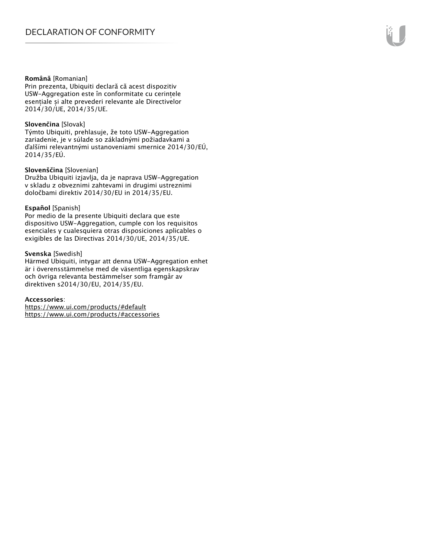#### **Română** [Romanian]

Prin prezenta, Ubiquiti declară că acest dispozitiv USW-Aggregation este în conformitate cu cerințele esențiale și alte prevederi relevante ale Directivelor 2014/30/UE, 2014/35/UE.

#### **Slovenčina** [Slovak]

Týmto Ubiquiti, prehlasuje, že toto USW-Aggregation zariadenie, je v súlade so základnými požiadavkami a ďalšími relevantnými ustanoveniami smernice 2014/30/EÚ, 2014/35/EÚ.

#### **Slovenščina** [Slovenian]

Družba Ubiquiti izjavlja, da je naprava USW-Aggregation v skladu z obveznimi zahtevami in drugimi ustreznimi določbami direktiv 2014/30/EU in 2014/35/EU.

#### **Español** [Spanish]

Por medio de la presente Ubiquiti declara que este dispositivo USW-Aggregation, cumple con los requisitos esenciales y cualesquiera otras disposiciones aplicables o exigibles de las Directivas 2014/30/UE, 2014/35/UE.

#### **Svenska** [Swedish]

Härmed Ubiquiti, intygar att denna USW-Aggregation enhet är i överensstämmelse med de väsentliga egenskapskrav och övriga relevanta bestämmelser som framgår av direktiven s2014/30/EU, 2014/35/EU.

#### **Accessories**:

https://www.ui.com/products/#default https://www.ui.com/products/#accessories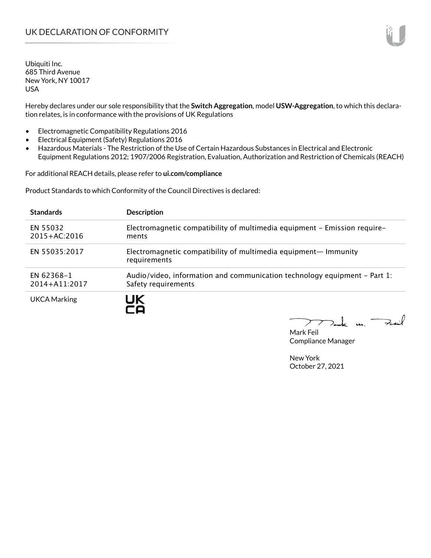Ubiquiti Inc. 685 Third Avenue New York, NY 10017 USA

Hereby declares under our sole responsibility that the **Switch Aggregation**, model **USW-Aggregation**, to which this declaration relates, is in conformance with the provisions of UK Regulations

- Electromagnetic Compatibility Regulations 2016
- Electrical Equipment (Safety) Regulations 2016
- Hazardous Materials The Restriction of the Use of Certain Hazardous Substances in Electrical and Electronic Equipment Regulations 2012; 1907/2006 Registration, Evaluation, Authorization and Restriction of Chemicals (REACH)

For additional REACH details, please refer to **ui.com/compliance**

Product Standards to which Conformity of the Council Directives is declared:

| <b>Standards</b>                | <b>Description</b>                                                                               |
|---------------------------------|--------------------------------------------------------------------------------------------------|
| EN 55032<br>$2015 + AC:2016$    | Electromagnetic compatibility of multimedia equipment - Emission require-<br>ments               |
| EN 55035:2017                   | Electromagnetic compatibility of multimedia equipment— Immunity<br>requirements                  |
| EN 62368-1<br>$2014 + A11:2017$ | Audio/video, information and communication technology equipment – Part 1:<br>Safety requirements |
| <b>UKCA Marking</b>             |                                                                                                  |

Tak un Fail  $\blacktriangleright$ 

Mark Feil Compliance Manager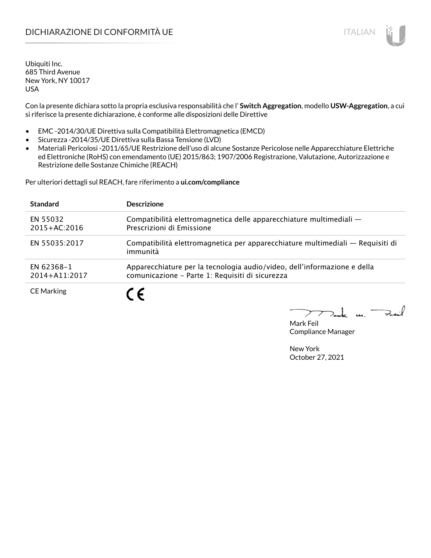## DICHIARAZIONE DI CONFORMITÀ UE ITALIAN ITALIAN

Ubiquiti Inc. 685 Third Avenue New York, NY 10017 USA

Con la presente dichiara sotto la propria esclusiva responsabilità che l' **Switch Aggregation**, modello **USW-Aggregation**, a cui si riferisce la presente dichiarazione, è conforme alle disposizioni delle Direttive

- EMC -2014/30/UE Direttiva sulla Compatibilità Elettromagnetica (EMCD)
- Sicurezza -2014/35/UE Direttiva sulla Bassa Tensione (LVD)
- Materiali Pericolosi -2011/65/UE Restrizione dell'uso di alcune Sostanze Pericolose nelle Apparecchiature Elettriche ed Elettroniche (RoHS) con emendamento (UE) 2015/863; 1907/2006 Registrazione, Valutazione, Autorizzazione e Restrizione delle Sostanze Chimiche (REACH)

Per ulteriori dettagli sul REACH, fare riferimento a **ui.com/compliance**

| <b>Standard</b>              | <b>Descrizione</b>                                                                                                          |
|------------------------------|-----------------------------------------------------------------------------------------------------------------------------|
| EN 55032<br>$2015 + AC:2016$ | Compatibilità elettromagnetica delle apparecchiature multimediali —<br>Prescrizioni di Emissione                            |
| EN 55035:2017                | Compatibilità elettromagnetica per apparecchiature multimediali — Requisiti di<br>immunità                                  |
| EN 62368-1<br>2014+A11:2017  | Apparecchiature per la tecnologia audio/video, dell'informazione e della<br>comunicazione - Parte 1: Requisiti di sicurezza |
| <b>CE Marking</b>            |                                                                                                                             |

 $\Rightarrow$ inf  $\overline{u}$ 

Mark Feil Compliance Manager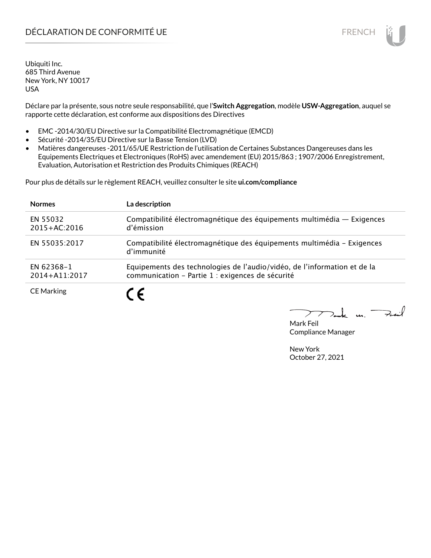## DÉCLARATION DE CONFORMITÉ UE EN ENCHANGEMENT DE CONFORMITÉ UNE ENCHANGEMENT DE CONFORMITÉ UNE ENCHANGEMENT DE

Ubiquiti Inc. 685 Third Avenue New York, NY 10017 USA

Déclare par la présente, sous notre seule responsabilité, que l'**Switch Aggregation**, modèle **USW-Aggregation**, auquel se rapporte cette déclaration, est conforme aux dispositions des Directives

- EMC -2014/30/EU Directive sur la Compatibilité Electromagnétique (EMCD)
- Sécurité -2014/35/EU Directive sur la Basse Tension (LVD)
- Matières dangereuses -2011/65/UE Restriction de l'utilisation de Certaines Substances Dangereuses dans les Equipements Electriques et Electroniques (RoHS) avec amendement (EU) 2015/863 ; 1907/2006 Enregistrement, Evaluation, Autorisation et Restriction des Produits Chimiques (REACH)

Pour plus de détails sur le règlement REACH, veuillez consulter le site **ui.com/compliance**

| <b>Normes</b>                | La description                                                                                                               |
|------------------------------|------------------------------------------------------------------------------------------------------------------------------|
| EN 55032<br>$2015 + AC:2016$ | Compatibilité électromagnétique des équipements multimédia — Exigences<br>d'émission                                         |
| EN 55035:2017                | Compatibilité électromagnétique des équipements multimédia - Exigences<br>d'immunité                                         |
| EN 62368-1<br>2014+A11:2017  | Equipements des technologies de l'audio/vidéo, de l'information et de la<br>communication - Partie 1 : exigences de sécurité |
| <b>CE Marking</b>            | 7 C                                                                                                                          |

لأبدحة  $\mathbf{u}$ 

Mark Feil Compliance Manager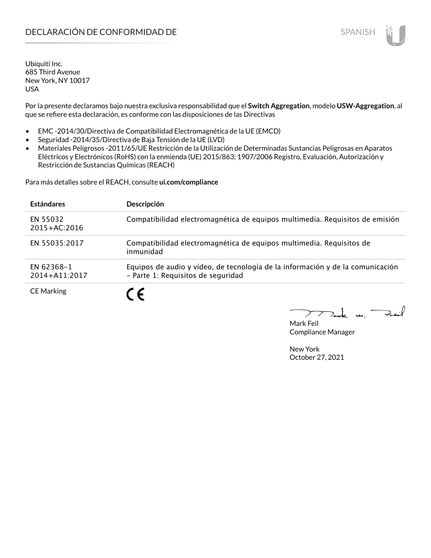## **DECLARACIÓN DE CONFORMIDAD DE SPANISH EN EL SERVIS EN EL SERVISH**

Ubiquiti Inc. 685 Third Avenue New York, NY 10017 USA

Por la presente declaramos bajo nuestra exclusiva responsabilidad que el **Switch Aggregation**, modelo **USW-Aggregation**, al que se refiere esta declaración, es conforme con las disposiciones de las Directivas

- EMC -2014/30/Directiva de Compatibilidad Electromagnética de la UE (EMCD)
- Seguridad -2014/35/Directiva de Baja Tensión de la UE (LVD)
- Materiales Peligrosos -2011/65/UE Restricción de la Utilización de Determinadas Sustancias Peligrosas en Aparatos Eléctricos y Electrónicos (RoHS) con la enmienda (UE) 2015/863; 1907/2006 Registro, Evaluación, Autorización y Restricción de Sustancias Químicas (REACH)

Para más detalles sobre el REACH, consulte **ui.com/compliance**

| <b>Estándares</b>            | Descripción                                                                                                          |
|------------------------------|----------------------------------------------------------------------------------------------------------------------|
| EN 55032<br>$2015 + AC:2016$ | Compatibilidad electromagnética de equipos multimedia. Requisitos de emisión                                         |
| EN 55035:2017                | Compatibilidad electromagnética de equipos multimedia. Requisitos de<br>inmunidad                                    |
| EN 62368-1<br>2014+A11:2017  | Equipos de audio y vídeo, de tecnología de la información y de la comunicación<br>- Parte 1: Requisitos de seguridad |
| <b>CE Marking</b>            | $\epsilon$                                                                                                           |

لأبدحة *<u>un</u>* 

Mark Feil Compliance Manager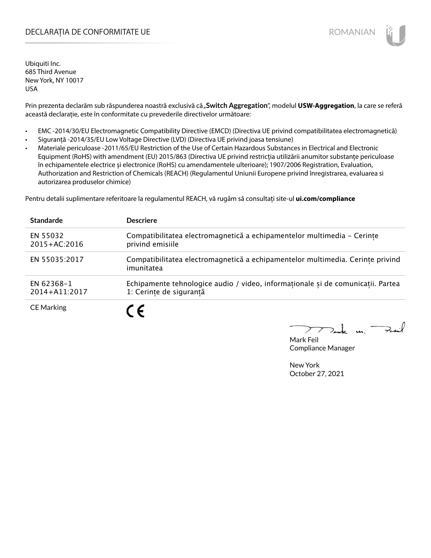### DECLARAȚIA DE CONFORMITATE UE EXTERNATION ANNO 1999 EN ANNO 1999 ROMANIAN

Ubiquiti Inc. 685 Third Avenue New York, NY 10017 USA

Prin prezenta declarăm sub răspunderea noastră exclusivă că "Switch Aggregation", modelul USW-Aggregation, la care se referă această declarație, este în conformitate cu prevederile directivelor următoare:

- EMC -2014/30/EU Electromagnetic Compatibility Directive (EMCD) (Directiva UE privind compatibilitatea electromagnetică)
- Siguranță -2014/35/EU Low Voltage Directive (LVD) (Directiva UE privind joasa tensiune)
- Materiale periculoase -2011/65/EU Restriction of the Use of Certain Hazardous Substances in Electrical and Electronic Equipment (RoHS) with amendment (EU) 2015/863 (Directiva UE privind restricția utilizării anumitor substanțe periculoase în echipamentele electrice și electronice (RoHS) cu amendamentele ulterioare); 1907/2006 Registration, Evaluation, Authorization and Restriction of Chemicals (REACH) (Regulamentul Uniunii Europene privind înregistrarea, evaluarea si autorizarea produselor chimice)

Pentru detalii suplimentare referitoare la regulamentul REACH, vă rugăm să consultați site-ul **ui.com/compliance**

| <b>Standarde</b>             | <b>Descriere</b>                                                                                           |
|------------------------------|------------------------------------------------------------------------------------------------------------|
| EN 55032<br>$2015 + AC:2016$ | Compatibilitatea electromagnetică a echipamentelor multimedia - Cerințe<br>privind emisiile                |
| EN 55035:2017                | Compatibilitatea electromagnetică a echipamentelor multimedia. Cerințe privind<br>imunitatea               |
| EN 62368-1<br>2014+A11:2017  | Echipamente tehnologice audio / video, informaționale și de comunicații. Partea<br>1: Cerințe de siguranță |
| <b>CE Marking</b>            | C F                                                                                                        |

 $m.$  Fail

Mark Feil Compliance Manager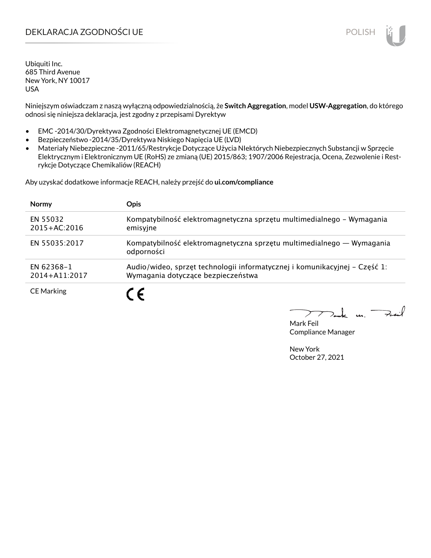## DEKLARACJA ZGODNOŚCI UE POLISH POLISH

Ubiquiti Inc. 685 Third Avenue New York, NY 10017 USA

Niniejszym oświadczam z naszą wyłączną odpowiedzialnością, że **Switch Aggregation**, model **USW-Aggregation**, do którego odnosi się niniejsza deklaracja, jest zgodny z przepisami Dyrektyw

- EMC -2014/30/Dyrektywa Zgodności Elektromagnetycznej UE (EMCD)
- Bezpieczeństwo -2014/35/Dyrektywa Niskiego Napięcia UE (LVD)
- Materiały Niebezpieczne -2011/65/Restrykcje Dotyczące Użycia NIektórych Niebezpiecznych Substancji w Sprzęcie Elektrycznym i Elektronicznym UE (RoHS) ze zmianą (UE) 2015/863; 1907/2006 Rejestracja, Ocena, Zezwolenie i Restrykcje Dotyczące Chemikaliów (REACH)

Aby uzyskać dodatkowe informacje REACH, należy przejść do **ui.com/compliance**

| <b>Normy</b>                 | <b>Opis</b>                                                                                                      |
|------------------------------|------------------------------------------------------------------------------------------------------------------|
| EN 55032<br>$2015 + AC:2016$ | Kompatybilność elektromagnetyczna sprzętu multimedialnego – Wymagania<br>emisyjne                                |
| EN 55035:2017                | Kompatybilność elektromagnetyczna sprzętu multimedialnego — Wymagania<br>odporności                              |
| EN 62368-1<br>2014+A11:2017  | Audio/wideo, sprzęt technologii informatycznej i komunikacyjnej – Część 1:<br>Wymagania dotyczące bezpieczeństwa |
| <b>CE Marking</b>            | $\epsilon$                                                                                                       |

لأبدحة  $\mathbf{u}$ 

Mark Feil Compliance Manager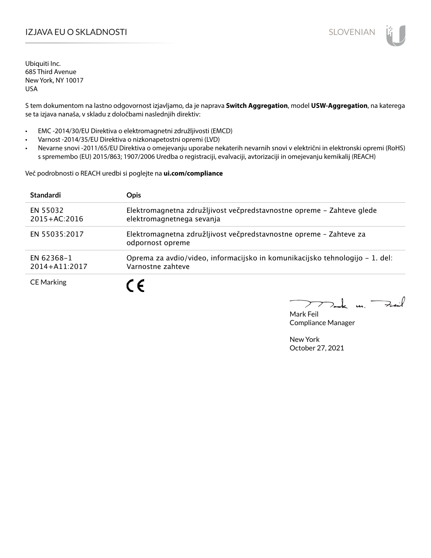## I**ZJAVA EU O SKLADNOSTI** SLOVENIAN

Ubiquiti Inc. 685 Third Avenue New York, NY 10017 USA

S tem dokumentom na lastno odgovornost izjavljamo, da je naprava **Switch Aggregation**, model **USW-Aggregation**, na katerega se ta izjava nanaša, v skladu z določbami naslednjih direktiv:

- EMC -2014/30/EU Direktiva o elektromagnetni združljivosti (EMCD)
- Varnost -2014/35/EU Direktiva o nizkonapetostni opremi (LVD)
- Nevarne snovi -2011/65/EU Direktiva o omejevanju uporabe nekaterih nevarnih snovi v električni in elektronski opremi (RoHS) s spremembo (EU) 2015/863; 1907/2006 Uredba o registraciji, evalvaciji, avtorizaciji in omejevanju kemikalij (REACH)

Več podrobnosti o REACH uredbi si poglejte na **ui.com/compliance**

| <b>Standardi</b>                       | <b>Opis</b>                                                                                        |
|----------------------------------------|----------------------------------------------------------------------------------------------------|
| EN 55032<br>$2015 + AC:2016$           | Elektromagnetna združljivost večpredstavnostne opreme - Zahteve glede<br>elektromagnetnega sevanja |
| EN 55035:2017                          | Elektromagnetna združljivost večpredstavnostne opreme - Zahteve za<br>odpornost opreme             |
| <b>EN 62368-1</b><br>$2014 + A11:2017$ | Oprema za avdio/video, informacijsko in komunikacijsko tehnologijo – 1. del:<br>Varnostne zahteve  |
| <b>CE Marking</b>                      | $\epsilon$                                                                                         |

 $k$  m. Fail

Mark Feil Compliance Manager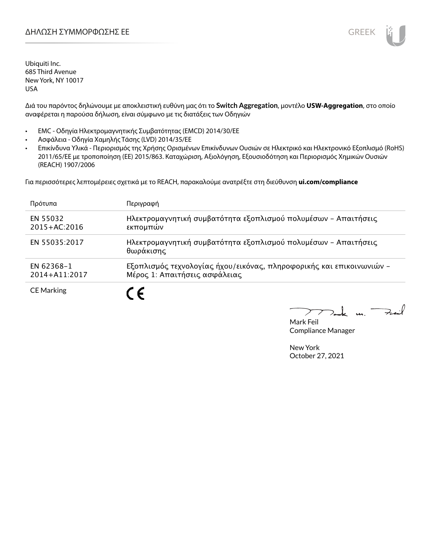

Ubiquiti Inc. 685 Third Avenue New York, NY 10017 USA

Διά του παρόντος δηλώνουμε με αποκλειστική ευθύνη μας ότι το **Switch Aggregation**, μοντέλο **USW-Aggregation**, στο οποίο αναφέρεται η παρούσα δήλωση, είναι σύμφωνο με τις διατάξεις των Οδηγιών

- EMC Οδηγία Ηλεκτρομαγνητικής Συμβατότητας (EMCD) 2014/30/ΕΕ
- Ασφάλεια Οδηγία Χαμηλής Τάσης (LVD) 2014/35/ΕΕ
- Επικίνδυνα Υλικά Περιορισμός της Χρήσης Ορισμένων Επικίνδυνων Ουσιών σε Ηλεκτρικό και Ηλεκτρονικό Εξοπλισμό (RoHS) 2011/65/ΕΕ με τροποποίηση (ΕΕ) 2015/863. Καταχώριση, Αξιολόγηση, Εξουσιοδότηση και Περιορισμός Χημικών Ουσιών (REACH) 1907/2006

Για περισσότερες λεπτομέρειες σχετικά με το REACH, παρακαλούμε ανατρέξτε στη διεύθυνση **ui.com/compliance**

| Πρότυπα                      | Περιγραφή                                                                                             |
|------------------------------|-------------------------------------------------------------------------------------------------------|
| EN 55032<br>$2015 + AC:2016$ | Ηλεκτρομαγνητική συμβατότητα εξοπλισμού πολυμέσων - Απαιτήσεις<br>εκπομπών                            |
| EN 55035:2017                | Ηλεκτρομαγνητική συμβατότητα εξοπλισμού πολυμέσων - Απαιτήσεις<br>θωράκισης                           |
| EN 62368-1<br>2014+A11:2017  | Εξοπλισμός τεχνολογίας ήχου/εικόνας, πληροφορικής και επικοινωνιών -<br>Μέρος 1: Απαιτήσεις ασφάλειας |
| <b>CE Marking</b>            |                                                                                                       |

Fail t u

Mark Feil Compliance Manager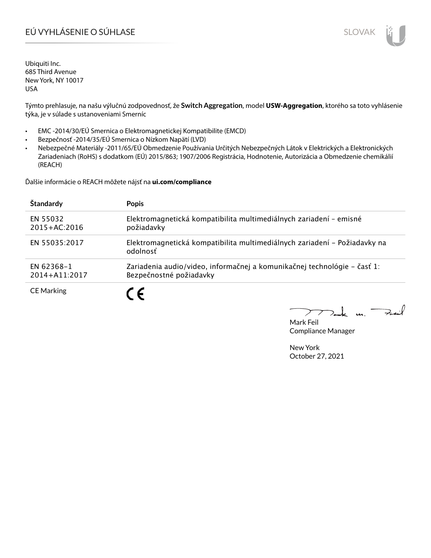# EÚ VYHLÁSENIE O SÚHLASE SLOVAK SLOVAK

Ubiquiti Inc. 685 Third Avenue New York, NY 10017 USA

Týmto prehlasuje, na našu výlučnú zodpovednosť, že **Switch Aggregation**, model **USW-Aggregation**, ktorého sa toto vyhlásenie týka, je v súlade s ustanoveniami Smerníc

- EMC -2014/30/EÚ Smernica o Elektromagnetickej Kompatibilite (EMCD)
- Bezpečnosť -2014/35/EÚ Smernica o Nízkom Napätí (LVD)
- Nebezpečné Materiály -2011/65/EÚ Obmedzenie Používania Určitých Nebezpečných Látok v Elektrických a Elektronických Zariadeniach (RoHS) s dodatkom (EÚ) 2015/863; 1907/2006 Registrácia, Hodnotenie, Autorizácia a Obmedzenie chemikálií (REACH)

Ďalšie informácie o REACH môžete nájsť na **ui.com/compliance**

| Štandardy                    | <b>Popis</b>                                                                                        |
|------------------------------|-----------------------------------------------------------------------------------------------------|
| EN 55032<br>$2015 + AC:2016$ | Elektromagnetická kompatibilita multimediálnych zariadení - emisné<br>požiadavky                    |
| EN 55035:2017                | Elektromagnetická kompatibilita multimediálnych zariadení – Požiadavky na<br>odolnosť               |
| EN 62368-1<br>2014+A11:2017  | Zariadenia audio/video, informačnej a komunikačnej technológie – časť 1:<br>Bezpečnostné požiadavky |
| <b>CE Marking</b>            |                                                                                                     |

Fail  $\mathbf{L}$  $\mathbf{u}$  $\geq$ 

Mark Feil Compliance Manager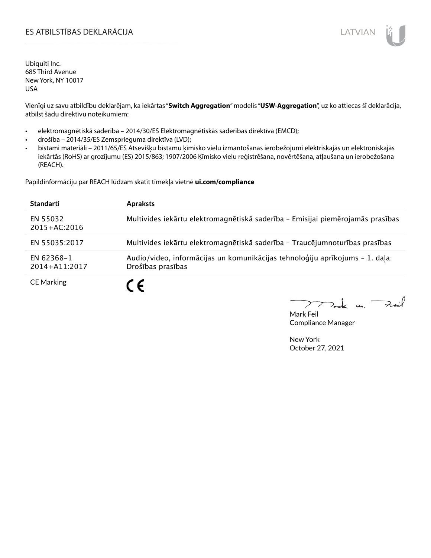### ES ATBILSTĪBAS DEKLARĀCIJA LATVIAN

Ubiquiti Inc. 685 Third Avenue New York, NY 10017 USA

Vienīgi uz savu atbildību deklarējam, ka iekārtas "**Switch Aggregation**" modelis "**USW-Aggregation**", uz ko attiecas šī deklarācija, atbilst šādu direktīvu noteikumiem:

- elektromagnētiskā saderība 2014/30/ES Elektromagnētiskās saderības direktīva (EMCD);
- drošība 2014/35/ES Zemsprieguma direktīva (LVD);
- bīstami materiāli 2011/65/ES Atsevišķu bīstamu ķīmisko vielu izmantošanas ierobežojumi elektriskajās un elektroniskajās iekārtās (RoHS) ar grozījumu (ES) 2015/863; 1907/2006 Ķīmisko vielu reģistrēšana, novērtēšana, atļaušana un ierobežošana (REACH).

Papildinformāciju par REACH lūdzam skatīt tīmekļa vietnē **ui.com/compliance**

| <b>Standarti</b>             | <b>Apraksts</b>                                                                                   |
|------------------------------|---------------------------------------------------------------------------------------------------|
| EN 55032<br>$2015 + AC:2016$ | Multivides iekārtu elektromagnētiskā saderība - Emisijai piemērojamās prasības                    |
| EN 55035:2017                | Multivides iekārtu elektromagnētiskā saderība - Traucējumnoturības prasības                       |
| EN 62368-1<br>2014+A11:2017  | Audio/video, informācijas un komunikācijas tehnoloģiju aprīkojums - 1. daļa:<br>Drošības prasības |
| <b>CE Marking</b>            | C F                                                                                               |

كمنعة k m. –

Mark Feil Compliance Manager